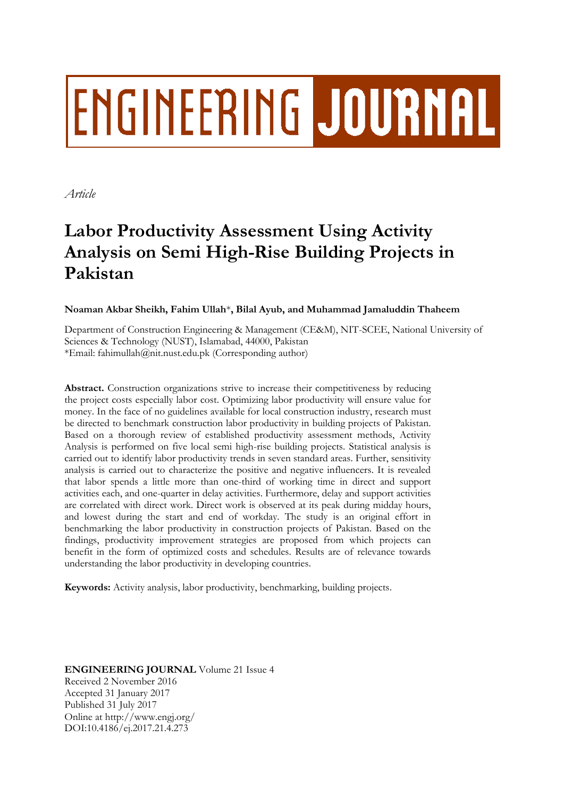# **ENGINEERING JOURNAL**

*Article*

# **Labor Productivity Assessment Using Activity Analysis on Semi High-Rise Building Projects in Pakistan**

**Noaman Akbar Sheikh, Fahim Ullah**\***, Bilal Ayub, and Muhammad Jamaluddin Thaheem**

Department of Construction Engineering & Management (CE&M), NIT-SCEE, National University of Sciences & Technology (NUST), Islamabad, 44000, Pakistan \*Email: fahimullah@nit.nust.edu.pk (Corresponding author)

**Abstract.** Construction organizations strive to increase their competitiveness by reducing the project costs especially labor cost. Optimizing labor productivity will ensure value for money. In the face of no guidelines available for local construction industry, research must be directed to benchmark construction labor productivity in building projects of Pakistan. Based on a thorough review of established productivity assessment methods, Activity Analysis is performed on five local semi high-rise building projects. Statistical analysis is carried out to identify labor productivity trends in seven standard areas. Further, sensitivity analysis is carried out to characterize the positive and negative influencers. It is revealed that labor spends a little more than one-third of working time in direct and support activities each, and one-quarter in delay activities. Furthermore, delay and support activities are correlated with direct work. Direct work is observed at its peak during midday hours, and lowest during the start and end of workday. The study is an original effort in benchmarking the labor productivity in construction projects of Pakistan. Based on the findings, productivity improvement strategies are proposed from which projects can benefit in the form of optimized costs and schedules. Results are of relevance towards understanding the labor productivity in developing countries.

**Keywords:** Activity analysis, labor productivity, benchmarking, building projects.

**ENGINEERING JOURNAL** Volume 21 Issue 4 Received 2 November 2016 Accepted 31 January 2017 Published 31 July 2017 Online at http://www.engj.org/ DOI:10.4186/ej.2017.21.4.273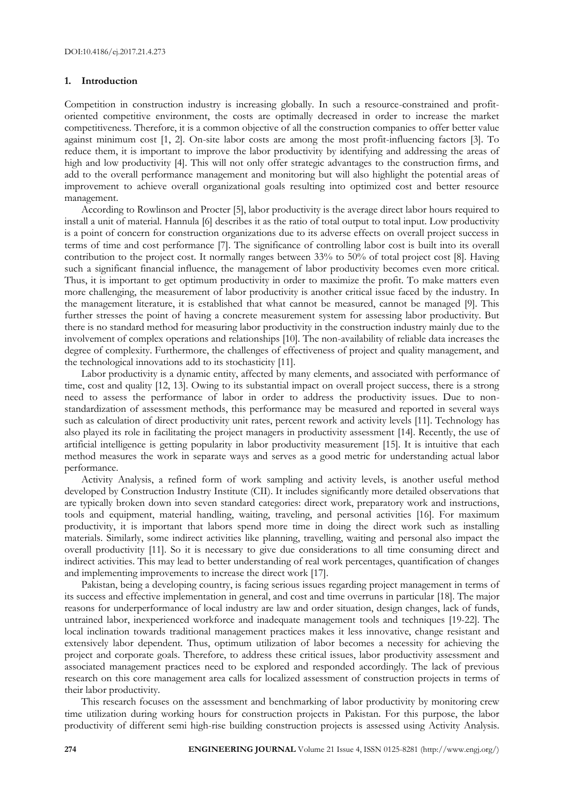# **1. Introduction**

Competition in construction industry is increasing globally. In such a resource-constrained and profitoriented competitive environment, the costs are optimally decreased in order to increase the market competitiveness. Therefore, it is a common objective of all the construction companies to offer better value against minimum cost [1, 2]. On-site labor costs are among the most profit-influencing factors [3]. To reduce them, it is important to improve the labor productivity by identifying and addressing the areas of high and low productivity [4]. This will not only offer strategic advantages to the construction firms, and add to the overall performance management and monitoring but will also highlight the potential areas of improvement to achieve overall organizational goals resulting into optimized cost and better resource management.

According to Rowlinson and Procter [5], labor productivity is the average direct labor hours required to install a unit of material. Hannula [6] describes it as the ratio of total output to total input. Low productivity is a point of concern for construction organizations due to its adverse effects on overall project success in terms of time and cost performance [7]. The significance of controlling labor cost is built into its overall contribution to the project cost. It normally ranges between 33% to 50% of total project cost [8]. Having such a significant financial influence, the management of labor productivity becomes even more critical. Thus, it is important to get optimum productivity in order to maximize the profit. To make matters even more challenging, the measurement of labor productivity is another critical issue faced by the industry. In the management literature, it is established that what cannot be measured, cannot be managed [9]. This further stresses the point of having a concrete measurement system for assessing labor productivity. But there is no standard method for measuring labor productivity in the construction industry mainly due to the involvement of complex operations and relationships [10]. The non-availability of reliable data increases the degree of complexity. Furthermore, the challenges of effectiveness of project and quality management, and the technological innovations add to its stochasticity [11].

Labor productivity is a dynamic entity, affected by many elements, and associated with performance of time, cost and quality [12, 13]. Owing to its substantial impact on overall project success, there is a strong need to assess the performance of labor in order to address the productivity issues. Due to nonstandardization of assessment methods, this performance may be measured and reported in several ways such as calculation of direct productivity unit rates, percent rework and activity levels [11]. Technology has also played its role in facilitating the project managers in productivity assessment [14]. Recently, the use of artificial intelligence is getting popularity in labor productivity measurement [15]. It is intuitive that each method measures the work in separate ways and serves as a good metric for understanding actual labor performance.

Activity Analysis, a refined form of work sampling and activity levels, is another useful method developed by Construction Industry Institute (CII). It includes significantly more detailed observations that are typically broken down into seven standard categories: direct work, preparatory work and instructions, tools and equipment, material handling, waiting, traveling, and personal activities [16]. For maximum productivity, it is important that labors spend more time in doing the direct work such as installing materials. Similarly, some indirect activities like planning, travelling, waiting and personal also impact the overall productivity [11]. So it is necessary to give due considerations to all time consuming direct and indirect activities. This may lead to better understanding of real work percentages, quantification of changes and implementing improvements to increase the direct work [17].

Pakistan, being a developing country, is facing serious issues regarding project management in terms of its success and effective implementation in general, and cost and time overruns in particular [18]. The major reasons for underperformance of local industry are law and order situation, design changes, lack of funds, untrained labor, inexperienced workforce and inadequate management tools and techniques [19-22]. The local inclination towards traditional management practices makes it less innovative, change resistant and extensively labor dependent. Thus, optimum utilization of labor becomes a necessity for achieving the project and corporate goals. Therefore, to address these critical issues, labor productivity assessment and associated management practices need to be explored and responded accordingly. The lack of previous research on this core management area calls for localized assessment of construction projects in terms of their labor productivity.

This research focuses on the assessment and benchmarking of labor productivity by monitoring crew time utilization during working hours for construction projects in Pakistan. For this purpose, the labor productivity of different semi high-rise building construction projects is assessed using Activity Analysis.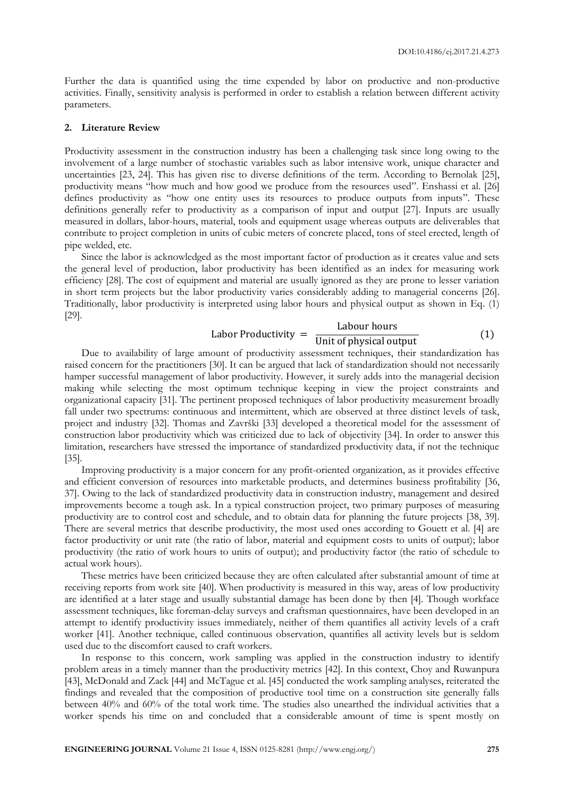Further the data is quantified using the time expended by labor on productive and non-productive activities. Finally, sensitivity analysis is performed in order to establish a relation between different activity parameters.

### **2. Literature Review**

Productivity assessment in the construction industry has been a challenging task since long owing to the involvement of a large number of stochastic variables such as labor intensive work, unique character and uncertainties [23, 24]. This has given rise to diverse definitions of the term. According to Bernolak [25], productivity means "how much and how good we produce from the resources used". Enshassi et al. [26] defines productivity as "how one entity uses its resources to produce outputs from inputs". These definitions generally refer to productivity as a comparison of input and output [27]. Inputs are usually measured in dollars, labor-hours, material, tools and equipment usage whereas outputs are deliverables that contribute to project completion in units of cubic meters of concrete placed, tons of steel erected, length of pipe welded, etc.

Since the labor is acknowledged as the most important factor of production as it creates value and sets the general level of production, labor productivity has been identified as an index for measuring work efficiency [28]. The cost of equipment and material are usually ignored as they are prone to lesser variation in short term projects but the labor productivity varies considerably adding to managerial concerns [26]. Traditionally, labor productivity is interpreted using labor hours and physical output as shown in Eq. (1) [29].

#### Labor Productivity =  $\frac{1}{U}$ Labour hours  $(1)$

Due to availability of large amount of productivity assessment techniques, their standardization has raised concern for the practitioners [30]. It can be argued that lack of standardization should not necessarily hamper successful management of labor productivity. However, it surely adds into the managerial decision making while selecting the most optimum technique keeping in view the project constraints and organizational capacity [31]. The pertinent proposed techniques of labor productivity measurement broadly fall under two spectrums: continuous and intermittent, which are observed at three distinct levels of task, project and industry [32]. Thomas and Završki [33] developed a theoretical model for the assessment of construction labor productivity which was criticized due to lack of objectivity [34]. In order to answer this limitation, researchers have stressed the importance of standardized productivity data, if not the technique [35].

Improving productivity is a major concern for any profit-oriented organization, as it provides effective and efficient conversion of resources into marketable products, and determines business profitability [36, 37]. Owing to the lack of standardized productivity data in construction industry, management and desired improvements become a tough ask. In a typical construction project, two primary purposes of measuring productivity are to control cost and schedule, and to obtain data for planning the future projects [38, 39]. There are several metrics that describe productivity, the most used ones according to Gouett et al. [4] are factor productivity or unit rate (the ratio of labor, material and equipment costs to units of output); labor productivity (the ratio of work hours to units of output); and productivity factor (the ratio of schedule to actual work hours).

These metrics have been criticized because they are often calculated after substantial amount of time at receiving reports from work site [40]. When productivity is measured in this way, areas of low productivity are identified at a later stage and usually substantial damage has been done by then [4]. Though workface assessment techniques, like foreman-delay surveys and craftsman questionnaires, have been developed in an attempt to identify productivity issues immediately, neither of them quantifies all activity levels of a craft worker [41]. Another technique, called continuous observation, quantifies all activity levels but is seldom used due to the discomfort caused to craft workers.

In response to this concern, work sampling was applied in the construction industry to identify problem areas in a timely manner than the productivity metrics [42]. In this context, Choy and Ruwanpura [43], McDonald and Zack [44] and McTague et al. [45] conducted the work sampling analyses, reiterated the findings and revealed that the composition of productive tool time on a construction site generally falls between 40% and 60% of the total work time. The studies also unearthed the individual activities that a worker spends his time on and concluded that a considerable amount of time is spent mostly on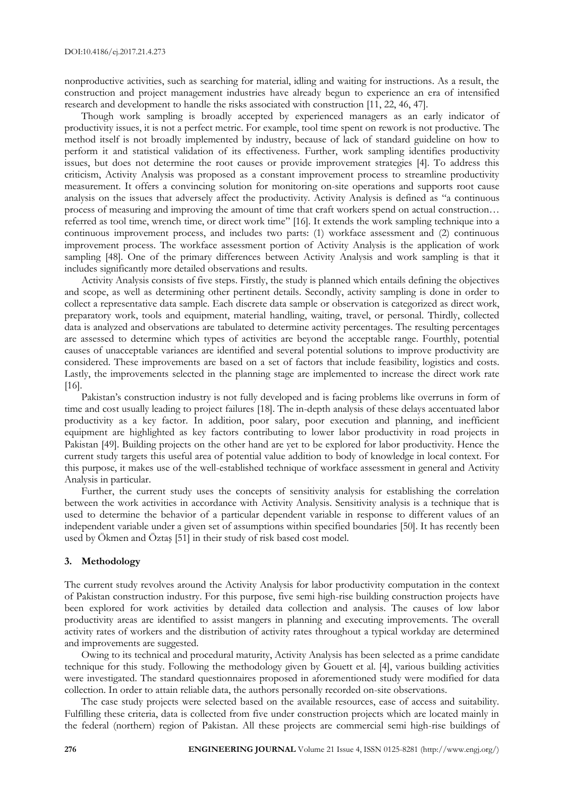nonproductive activities, such as searching for material, idling and waiting for instructions. As a result, the construction and project management industries have already begun to experience an era of intensified research and development to handle the risks associated with construction [11, 22, 46, 47].

Though work sampling is broadly accepted by experienced managers as an early indicator of productivity issues, it is not a perfect metric. For example, tool time spent on rework is not productive. The method itself is not broadly implemented by industry, because of lack of standard guideline on how to perform it and statistical validation of its effectiveness. Further, work sampling identifies productivity issues, but does not determine the root causes or provide improvement strategies [4]. To address this criticism, Activity Analysis was proposed as a constant improvement process to streamline productivity measurement. It offers a convincing solution for monitoring on-site operations and supports root cause analysis on the issues that adversely affect the productivity. Activity Analysis is defined as "a continuous process of measuring and improving the amount of time that craft workers spend on actual construction… referred as tool time, wrench time, or direct work time" [16]. It extends the work sampling technique into a continuous improvement process, and includes two parts: (1) workface assessment and (2) continuous improvement process. The workface assessment portion of Activity Analysis is the application of work sampling [48]. One of the primary differences between Activity Analysis and work sampling is that it includes significantly more detailed observations and results.

Activity Analysis consists of five steps. Firstly, the study is planned which entails defining the objectives and scope, as well as determining other pertinent details. Secondly, activity sampling is done in order to collect a representative data sample. Each discrete data sample or observation is categorized as direct work, preparatory work, tools and equipment, material handling, waiting, travel, or personal. Thirdly, collected data is analyzed and observations are tabulated to determine activity percentages. The resulting percentages are assessed to determine which types of activities are beyond the acceptable range. Fourthly, potential causes of unacceptable variances are identified and several potential solutions to improve productivity are considered. These improvements are based on a set of factors that include feasibility, logistics and costs. Lastly, the improvements selected in the planning stage are implemented to increase the direct work rate [16].

Pakistan's construction industry is not fully developed and is facing problems like overruns in form of time and cost usually leading to project failures [18]. The in-depth analysis of these delays accentuated labor productivity as a key factor. In addition, poor salary, poor execution and planning, and inefficient equipment are highlighted as key factors contributing to lower labor productivity in road projects in Pakistan [49]. Building projects on the other hand are yet to be explored for labor productivity. Hence the current study targets this useful area of potential value addition to body of knowledge in local context. For this purpose, it makes use of the well-established technique of workface assessment in general and Activity Analysis in particular.

Further, the current study uses the concepts of sensitivity analysis for establishing the correlation between the work activities in accordance with Activity Analysis. Sensitivity analysis is a technique that is used to determine the behavior of a particular dependent variable in response to different values of an independent variable under a given set of assumptions within specified boundaries [50]. It has recently been used by Ökmen and Öztaş [51] in their study of risk based cost model.

## **3. Methodology**

The current study revolves around the Activity Analysis for labor productivity computation in the context of Pakistan construction industry. For this purpose, five semi high-rise building construction projects have been explored for work activities by detailed data collection and analysis. The causes of low labor productivity areas are identified to assist mangers in planning and executing improvements. The overall activity rates of workers and the distribution of activity rates throughout a typical workday are determined and improvements are suggested.

Owing to its technical and procedural maturity, Activity Analysis has been selected as a prime candidate technique for this study. Following the methodology given by Gouett et al. [4], various building activities were investigated. The standard questionnaires proposed in aforementioned study were modified for data collection. In order to attain reliable data, the authors personally recorded on-site observations.

The case study projects were selected based on the available resources, ease of access and suitability. Fulfilling these criteria, data is collected from five under construction projects which are located mainly in the federal (northern) region of Pakistan. All these projects are commercial semi high-rise buildings of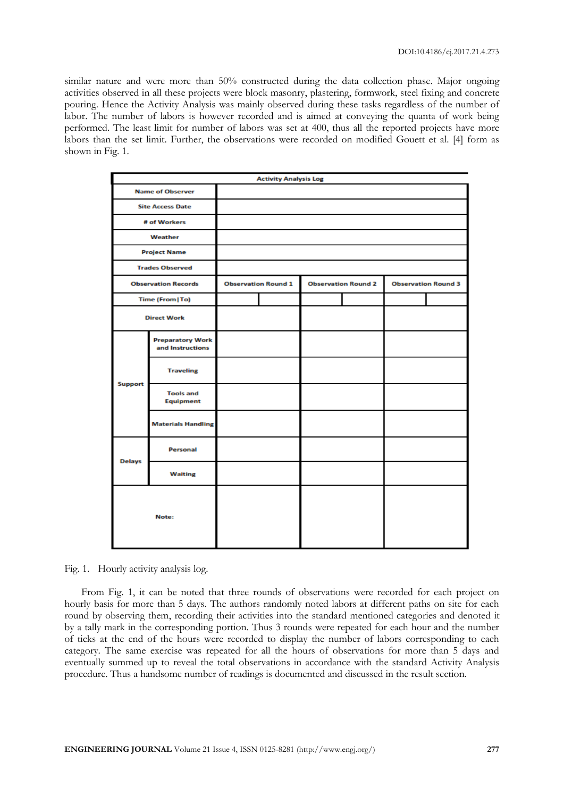similar nature and were more than 50% constructed during the data collection phase. Major ongoing activities observed in all these projects were block masonry, plastering, formwork, steel fixing and concrete pouring. Hence the Activity Analysis was mainly observed during these tasks regardless of the number of labor. The number of labors is however recorded and is aimed at conveying the quanta of work being performed. The least limit for number of labors was set at 400, thus all the reported projects have more labors than the set limit. Further, the observations were recorded on modified Gouett et al. [4] form as shown in Fig. 1.

| <b>Activity Analysis Log</b> |                                             |  |                            |  |                            |  |                            |
|------------------------------|---------------------------------------------|--|----------------------------|--|----------------------------|--|----------------------------|
|                              | <b>Name of Observer</b>                     |  |                            |  |                            |  |                            |
|                              | <b>Site Access Date</b>                     |  |                            |  |                            |  |                            |
|                              | # of Workers                                |  |                            |  |                            |  |                            |
|                              | Weather                                     |  |                            |  |                            |  |                            |
|                              | <b>Project Name</b>                         |  |                            |  |                            |  |                            |
|                              | <b>Trades Observed</b>                      |  |                            |  |                            |  |                            |
|                              | <b>Observation Records</b>                  |  | <b>Observation Round 1</b> |  | <b>Observation Round 2</b> |  | <b>Observation Round 3</b> |
|                              | Time (From   To)                            |  |                            |  |                            |  |                            |
|                              | <b>Direct Work</b>                          |  |                            |  |                            |  |                            |
|                              | <b>Preparatory Work</b><br>and Instructions |  |                            |  |                            |  |                            |
|                              | <b>Traveling</b>                            |  |                            |  |                            |  |                            |
| <b>Support</b>               | <b>Tools and</b><br><b>Equipment</b>        |  |                            |  |                            |  |                            |
|                              | <b>Materials Handling</b>                   |  |                            |  |                            |  |                            |
| <b>Delays</b>                | <b>Personal</b>                             |  |                            |  |                            |  |                            |
|                              | <b>Waiting</b>                              |  |                            |  |                            |  |                            |
| Note:                        |                                             |  |                            |  |                            |  |                            |

Fig. 1. Hourly activity analysis log.

From Fig. 1, it can be noted that three rounds of observations were recorded for each project on hourly basis for more than 5 days. The authors randomly noted labors at different paths on site for each round by observing them, recording their activities into the standard mentioned categories and denoted it by a tally mark in the corresponding portion. Thus 3 rounds were repeated for each hour and the number of ticks at the end of the hours were recorded to display the number of labors corresponding to each category. The same exercise was repeated for all the hours of observations for more than 5 days and eventually summed up to reveal the total observations in accordance with the standard Activity Analysis procedure. Thus a handsome number of readings is documented and discussed in the result section.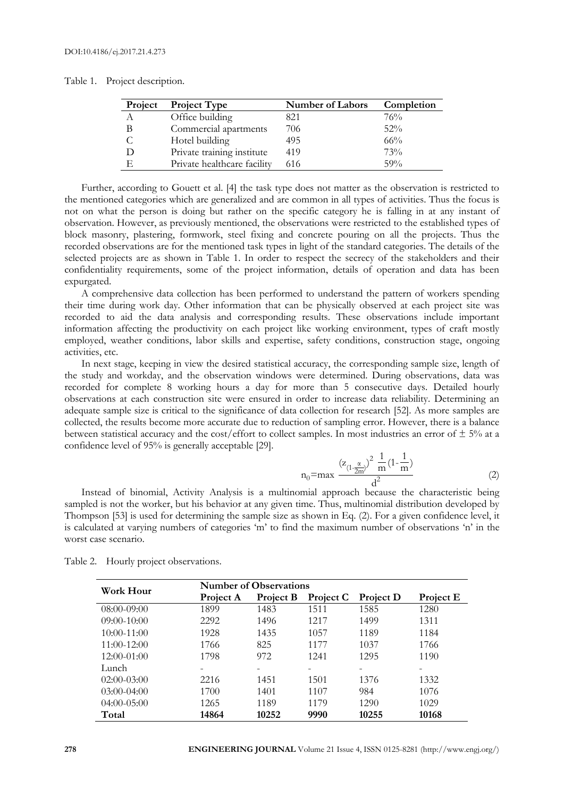| Table 1. | Project description. |  |  |
|----------|----------------------|--|--|
|          |                      |  |  |

| Project | <b>Project Type</b>         | <b>Number of Labors</b> | Completion |
|---------|-----------------------------|-------------------------|------------|
| A       | Office building             | 821                     | 76%        |
|         | Commercial apartments       | 706                     | 52%        |
|         | Hotel building              | 495                     | $66\%$     |
|         | Private training institute  | 419                     | 73%        |
| F       | Private healthcare facility | 616                     | 59%        |

Further, according to Gouett et al. [4] the task type does not matter as the observation is restricted to the mentioned categories which are generalized and are common in all types of activities. Thus the focus is not on what the person is doing but rather on the specific category he is falling in at any instant of observation. However, as previously mentioned, the observations were restricted to the established types of block masonry, plastering, formwork, steel fixing and concrete pouring on all the projects. Thus the recorded observations are for the mentioned task types in light of the standard categories. The details of the selected projects are as shown in Table 1. In order to respect the secrecy of the stakeholders and their confidentiality requirements, some of the project information, details of operation and data has been expurgated.

A comprehensive data collection has been performed to understand the pattern of workers spending their time during work day. Other information that can be physically observed at each project site was recorded to aid the data analysis and corresponding results. These observations include important information affecting the productivity on each project like working environment, types of craft mostly employed, weather conditions, labor skills and expertise, safety conditions, construction stage, ongoing activities, etc.

In next stage, keeping in view the desired statistical accuracy, the corresponding sample size, length of the study and workday, and the observation windows were determined. During observations, data was recorded for complete 8 working hours a day for more than 5 consecutive days. Detailed hourly observations at each construction site were ensured in order to increase data reliability. Determining an adequate sample size is critical to the significance of data collection for research [52]. As more samples are collected, the results become more accurate due to reduction of sampling error. However, there is a balance between statistical accuracy and the cost/effort to collect samples. In most industries an error of  $\pm$  5% at a confidence level of 95% is generally acceptable [29].

$$
n_0 = \max \frac{(z_{(1-\frac{\alpha}{2m})})^2 \frac{1}{m} (1 - \frac{1}{m})}{d^2}
$$
 (2)

Instead of binomial, Activity Analysis is a multinomial approach because the characteristic being sampled is not the worker, but his behavior at any given time. Thus, multinomial distribution developed by Thompson [53] is used for determining the sample size as shown in Eq. (2). For a given confidence level, it is calculated at varying numbers of categories 'm' to find the maximum number of observations 'n' in the worst case scenario.

| Work Hour       | <b>Number of Observations</b> |           |                  |                  |           |  |  |  |  |
|-----------------|-------------------------------|-----------|------------------|------------------|-----------|--|--|--|--|
|                 | Project A                     | Project B | <b>Project C</b> | <b>Project D</b> | Project E |  |  |  |  |
| $08:00-09:00$   | 1899                          | 1483      | 1511             | 1585             | 1280      |  |  |  |  |
| $09:00-10:00$   | 2292                          | 1496      | 1217             | 1499             | 1311      |  |  |  |  |
| $10:00 - 11:00$ | 1928                          | 1435      | 1057             | 1189             | 1184      |  |  |  |  |
| $11:00-12:00$   | 1766                          | 825       | 1177             | 1037             | 1766      |  |  |  |  |
| $12:00-01:00$   | 1798                          | 972       | 12.41            | 1295             | 1190      |  |  |  |  |
| Lunch           |                               |           |                  |                  |           |  |  |  |  |
| $02:00-03:00$   | 2216                          | 1451      | 1501             | 1376             | 1332      |  |  |  |  |
| $03:00-04:00$   | 1700                          | 1401      | 1107             | 984              | 1076      |  |  |  |  |
| $04:00-05:00$   | 1265                          | 1189      | 1179             | 1290             | 1029      |  |  |  |  |
| Total           | 14864                         | 10252     | 9990             | 10255            | 10168     |  |  |  |  |

Table 2. Hourly project observations.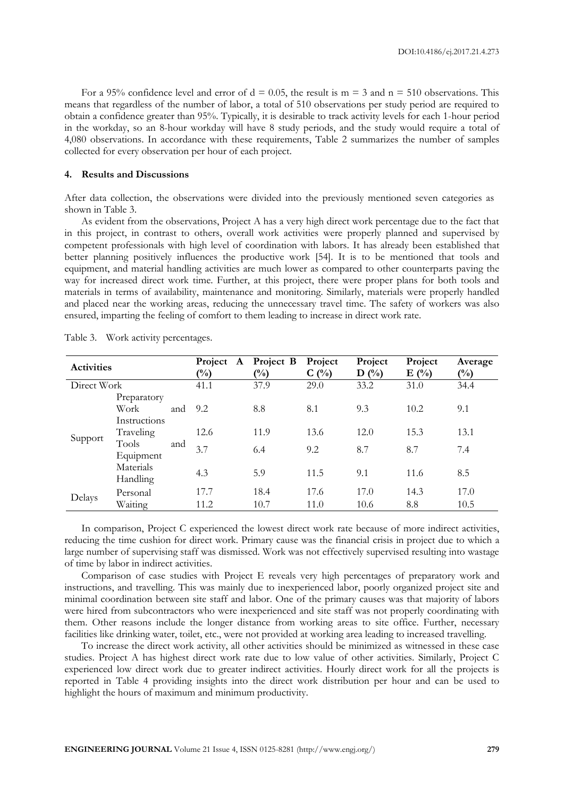For a 95% confidence level and error of  $d = 0.05$ , the result is  $m = 3$  and  $n = 510$  observations. This means that regardless of the number of labor, a total of 510 observations per study period are required to obtain a confidence greater than 95%. Typically, it is desirable to track activity levels for each 1-hour period in the workday, so an 8-hour workday will have 8 study periods, and the study would require a total of 4,080 observations. In accordance with these requirements, Table 2 summarizes the number of samples collected for every observation per hour of each project.

#### **4. Results and Discussions**

After data collection, the observations were divided into the previously mentioned seven categories as shown in Table 3.

As evident from the observations, Project A has a very high direct work percentage due to the fact that in this project, in contrast to others, overall work activities were properly planned and supervised by competent professionals with high level of coordination with labors. It has already been established that better planning positively influences the productive work [54]. It is to be mentioned that tools and equipment, and material handling activities are much lower as compared to other counterparts paving the way for increased direct work time. Further, at this project, there were proper plans for both tools and materials in terms of availability, maintenance and monitoring. Similarly, materials were properly handled and placed near the working areas, reducing the unnecessary travel time. The safety of workers was also ensured, imparting the feeling of comfort to them leading to increase in direct work rate.

| <b>Activities</b> |                 |     | Project<br>A<br>$\binom{0}{0}$ | Project B<br>$\binom{0}{0}$ | Project<br>$C(^{0}/_{0})$ | Project<br>$\binom{0}{0}$<br>D | Project<br>$E($ %) | Average<br>$\binom{0}{0}$ |
|-------------------|-----------------|-----|--------------------------------|-----------------------------|---------------------------|--------------------------------|--------------------|---------------------------|
| Direct Work       |                 |     | 41.1                           | 37.9                        | 29.0                      | 33.2                           | 31.0               | 34.4                      |
|                   | Preparatory     |     |                                |                             |                           |                                |                    |                           |
|                   | Work            | and | 9.2                            | 8.8                         | 8.1                       | 9.3                            | 10.2               | 9.1                       |
|                   | Instructions    |     |                                |                             |                           |                                |                    |                           |
|                   | Traveling       |     | 12.6                           | 11.9                        | 13.6                      | 12.0                           | 15.3               | 13.1                      |
| Support           | Tools           | and | 3.7                            | 6.4                         | 9.2                       | 8.7                            | 8.7                | 7.4                       |
|                   | Equipment       |     |                                |                             |                           |                                |                    |                           |
|                   | Materials       |     | 4.3                            | 5.9                         | 11.5                      | 9.1                            | 11.6               | 8.5                       |
|                   | <b>Handling</b> |     |                                |                             |                           |                                |                    |                           |
|                   | Personal        |     | 17.7                           | 18.4                        | 17.6                      | 17.0                           | 14.3               | 17.0                      |
| Delays            | Waiting         |     | 11.2                           | 10.7                        | 11.0                      | 10.6                           | 8.8                | 10.5                      |

Table 3. Work activity percentages.

In comparison, Project C experienced the lowest direct work rate because of more indirect activities, reducing the time cushion for direct work. Primary cause was the financial crisis in project due to which a large number of supervising staff was dismissed. Work was not effectively supervised resulting into wastage of time by labor in indirect activities.

Comparison of case studies with Project E reveals very high percentages of preparatory work and instructions, and travelling. This was mainly due to inexperienced labor, poorly organized project site and minimal coordination between site staff and labor. One of the primary causes was that majority of labors were hired from subcontractors who were inexperienced and site staff was not properly coordinating with them. Other reasons include the longer distance from working areas to site office. Further, necessary facilities like drinking water, toilet, etc., were not provided at working area leading to increased travelling.

To increase the direct work activity, all other activities should be minimized as witnessed in these case studies. Project A has highest direct work rate due to low value of other activities. Similarly, Project C experienced low direct work due to greater indirect activities. Hourly direct work for all the projects is reported in Table 4 providing insights into the direct work distribution per hour and can be used to highlight the hours of maximum and minimum productivity.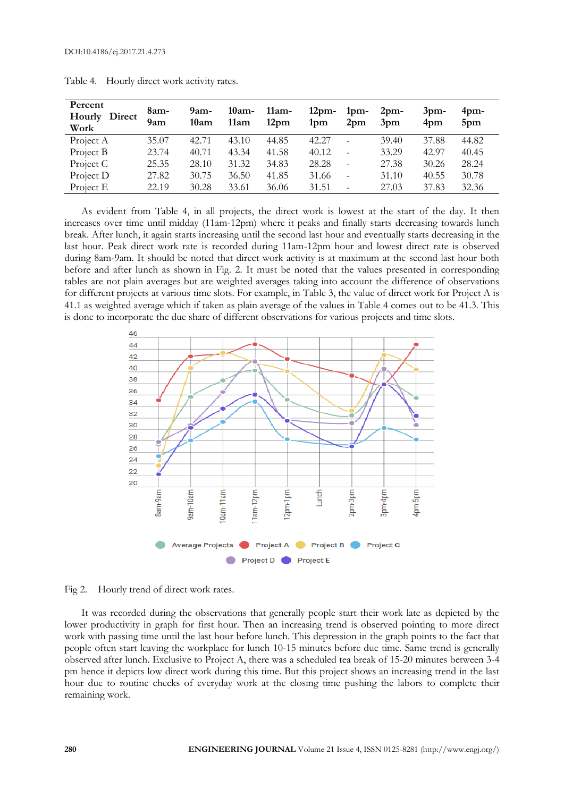| Percent<br>Direct<br>Hourly<br>Work | 8am-<br>9am | $9am-$<br>10am | $10am-$<br>11am | $11am-$<br>12 <sub>pm</sub> | 12 <sub>pm</sub><br>1pm | 1 <sub>pm</sub><br>2 <sub>pm</sub> | 2 <sub>pm</sub><br>3 <sub>pm</sub> | 3 <sub>pm</sub><br>4pm | $4$ pm-<br>5pm |
|-------------------------------------|-------------|----------------|-----------------|-----------------------------|-------------------------|------------------------------------|------------------------------------|------------------------|----------------|
| Project A                           | 35.07       | 42.71          | 43.10           | 44.85                       | 42.27                   |                                    | 39.40                              | 37.88                  | 44.82          |
| Project B                           | 23.74       | 40.71          | 43.34           | 41.58                       | 40.12                   |                                    | 33.29                              | 42.97                  | 40.45          |
| Project C                           | 25.35       | 28.10          | 31.32           | 34.83                       | 28.28                   | $\overline{\phantom{0}}$           | 27.38                              | 30.26                  | 28.24          |
| Project D                           | 27.82       | 30.75          | 36.50           | 41.85                       | 31.66                   | -                                  | 31.10                              | 40.55                  | 30.78          |
| Project E                           | 22.19       | 30.28          | 33.61           | 36.06                       | 31.51                   |                                    | 27.03                              | 37.83                  | 32.36          |

| Table 4. | Hourly direct work activity rates. |  |
|----------|------------------------------------|--|
|          |                                    |  |

As evident from Table 4, in all projects, the direct work is lowest at the start of the day. It then increases over time until midday (11am-12pm) where it peaks and finally starts decreasing towards lunch break. After lunch, it again starts increasing until the second last hour and eventually starts decreasing in the last hour. Peak direct work rate is recorded during 11am-12pm hour and lowest direct rate is observed during 8am-9am. It should be noted that direct work activity is at maximum at the second last hour both before and after lunch as shown in Fig. 2. It must be noted that the values presented in corresponding tables are not plain averages but are weighted averages taking into account the difference of observations for different projects at various time slots. For example, in Table 3, the value of direct work for Project A is 41.1 as weighted average which if taken as plain average of the values in Table 4 comes out to be 41.3. This is done to incorporate the due share of different observations for various projects and time slots.



Fig 2. Hourly trend of direct work rates.

It was recorded during the observations that generally people start their work late as depicted by the lower productivity in graph for first hour. Then an increasing trend is observed pointing to more direct work with passing time until the last hour before lunch. This depression in the graph points to the fact that people often start leaving the workplace for lunch 10-15 minutes before due time. Same trend is generally observed after lunch. Exclusive to Project A, there was a scheduled tea break of 15-20 minutes between 3-4 pm hence it depicts low direct work during this time. But this project shows an increasing trend in the last hour due to routine checks of everyday work at the closing time pushing the labors to complete their remaining work.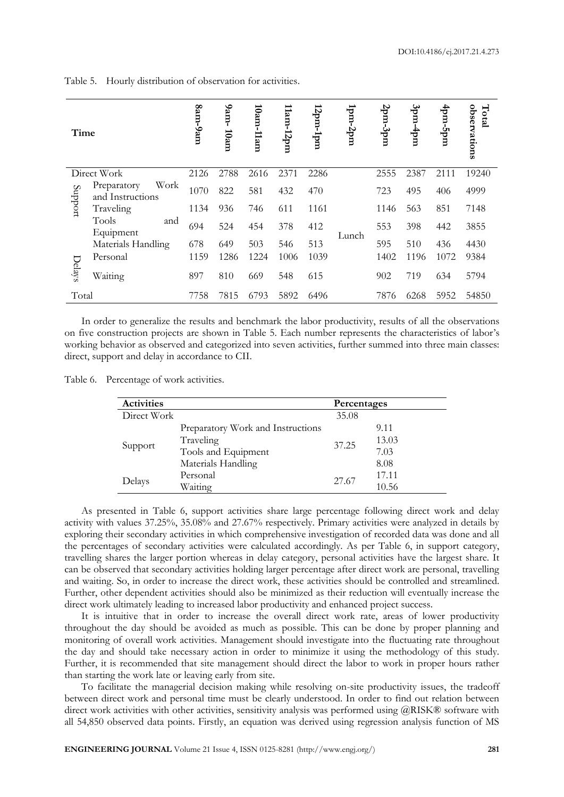Table 5. Hourly distribution of observation for activities.

| Time    |                                         | 8am-9am | -uu-6<br>10am | $10$ am- $11$ am | $11am-12pm$ | 12pm-1pm | $1$ pm-2pm | 2pm.3pm | $3pm-4pm$ | աժշ-աժ | observations<br>Total |
|---------|-----------------------------------------|---------|---------------|------------------|-------------|----------|------------|---------|-----------|--------|-----------------------|
|         | Direct Work                             | 2126    | 2788          | 2616             | 2371        | 2286     |            | 2555    | 2387      | 2111   | 19240                 |
| Support | Work<br>Preparatory<br>and Instructions | 1070    | 822           | 581              | 432         | 470      |            | 723     | 495       | 406    | 4999                  |
|         | Traveling                               | 1134    | 936           | 746              | 611         | 1161     |            | 1146    | 563       | 851    | 7148                  |
|         | Tools<br>and<br>Equipment               | 694     | 524           | 454              | 378         | 412      | Lunch      | 553     | 398       | 442    | 3855                  |
|         | Materials Handling                      | 678     | 649           | 503              | 546         | 513      |            | 595     | 510       | 436    | 4430                  |
|         | Personal                                | 1159    | 1286          | 1224             | 1006        | 1039     |            | 1402    | 1196      | 1072   | 9384                  |
| Delays  | Waiting                                 | 897     | 810           | 669              | 548         | 615      |            | 902     | 719       | 634    | 5794                  |
| Total   |                                         | 7758    | 7815          | 6793             | 5892        | 6496     |            | 7876    | 6268      | 5952   | 54850                 |

In order to generalize the results and benchmark the labor productivity, results of all the observations on five construction projects are shown in Table 5. Each number represents the characteristics of labor's working behavior as observed and categorized into seven activities, further summed into three main classes: direct, support and delay in accordance to CII.

Table 6. Percentage of work activities.

| <b>Activities</b> |                                   | Percentages |       |
|-------------------|-----------------------------------|-------------|-------|
| Direct Work       |                                   | 35.08       |       |
|                   | Preparatory Work and Instructions |             | 9.11  |
|                   | Traveling                         | 37.25       | 13.03 |
| Support           | Tools and Equipment               |             | 7.03  |
|                   | Materials Handling                |             | 8.08  |
| Delays            | Personal                          | 27.67       | 17.11 |
|                   | Waiting                           |             | 10.56 |

As presented in Table 6, support activities share large percentage following direct work and delay activity with values 37.25%, 35.08% and 27.67% respectively. Primary activities were analyzed in details by exploring their secondary activities in which comprehensive investigation of recorded data was done and all the percentages of secondary activities were calculated accordingly. As per Table 6, in support category, travelling shares the larger portion whereas in delay category, personal activities have the largest share. It can be observed that secondary activities holding larger percentage after direct work are personal, travelling and waiting. So, in order to increase the direct work, these activities should be controlled and streamlined. Further, other dependent activities should also be minimized as their reduction will eventually increase the direct work ultimately leading to increased labor productivity and enhanced project success.

It is intuitive that in order to increase the overall direct work rate, areas of lower productivity throughout the day should be avoided as much as possible. This can be done by proper planning and monitoring of overall work activities. Management should investigate into the fluctuating rate throughout the day and should take necessary action in order to minimize it using the methodology of this study. Further, it is recommended that site management should direct the labor to work in proper hours rather than starting the work late or leaving early from site.

To facilitate the managerial decision making while resolving on-site productivity issues, the tradeoff between direct work and personal time must be clearly understood. In order to find out relation between direct work activities with other activities, sensitivity analysis was performed using @RISK® software with all 54,850 observed data points. Firstly, an equation was derived using regression analysis function of MS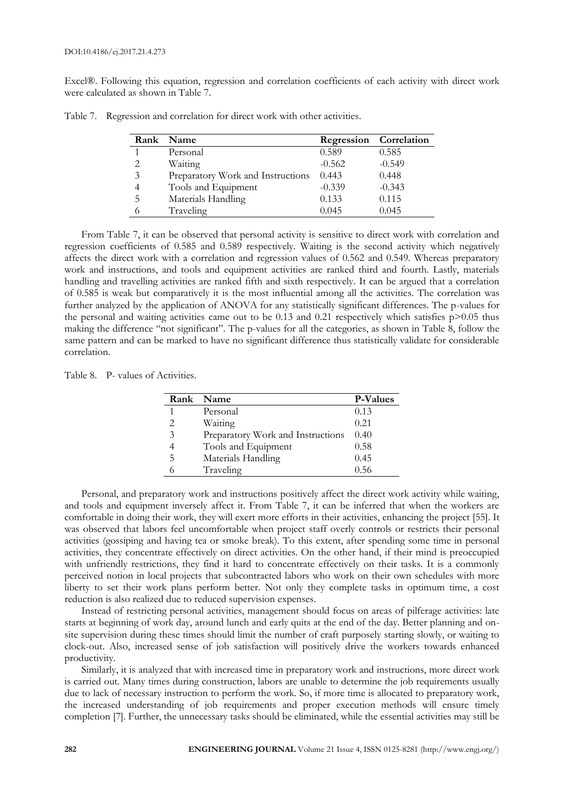Excel®. Following this equation, regression and correlation coefficients of each activity with direct work were calculated as shown in Table 7.

|          | Rank Name                         |          | <b>Regression</b> Correlation |
|----------|-----------------------------------|----------|-------------------------------|
|          | Personal                          | 0.589    | 0.585                         |
| 2        | Waiting                           | $-0.562$ | $-0.549$                      |
| 3        | Preparatory Work and Instructions | 0.443    | 0.448                         |
|          | Tools and Equipment               | $-0.339$ | $-0.343$                      |
| 5        | Materials Handling                | 0.133    | 0.115                         |
| $\Omega$ | Traveling                         | 0.045    | 0.045                         |

Table 7. Regression and correlation for direct work with other activities.

From Table 7, it can be observed that personal activity is sensitive to direct work with correlation and regression coefficients of 0.585 and 0.589 respectively. Waiting is the second activity which negatively affects the direct work with a correlation and regression values of 0.562 and 0.549. Whereas preparatory work and instructions, and tools and equipment activities are ranked third and fourth. Lastly, materials handling and travelling activities are ranked fifth and sixth respectively. It can be argued that a correlation of 0.585 is weak but comparatively it is the most influential among all the activities. The correlation was further analyzed by the application of ANOVA for any statistically significant differences. The p-values for the personal and waiting activities came out to be 0.13 and 0.21 respectively which satisfies  $p > 0.05$  thus making the difference "not significant". The p-values for all the categories, as shown in Table 8, follow the same pattern and can be marked to have no significant difference thus statistically validate for considerable correlation.

Table 8. P- values of Activities.

|   | Rank Name                         | <b>P-Values</b> |
|---|-----------------------------------|-----------------|
|   | Personal                          | 0.13            |
| 2 | Waiting                           | 0.21            |
| 3 | Preparatory Work and Instructions | 0.40            |
|   | Tools and Equipment               | 0.58            |
| 5 | Materials Handling                | 0.45            |
|   | Traveling                         | 0.56            |

Personal, and preparatory work and instructions positively affect the direct work activity while waiting, and tools and equipment inversely affect it. From Table 7, it can be inferred that when the workers are comfortable in doing their work, they will exert more efforts in their activities, enhancing the project [55]. It was observed that labors feel uncomfortable when project staff overly controls or restricts their personal activities (gossiping and having tea or smoke break). To this extent, after spending some time in personal activities, they concentrate effectively on direct activities. On the other hand, if their mind is preoccupied with unfriendly restrictions, they find it hard to concentrate effectively on their tasks. It is a commonly perceived notion in local projects that subcontracted labors who work on their own schedules with more liberty to set their work plans perform better. Not only they complete tasks in optimum time, a cost reduction is also realized due to reduced supervision expenses.

Instead of restricting personal activities, management should focus on areas of pilferage activities: late starts at beginning of work day, around lunch and early quits at the end of the day. Better planning and onsite supervision during these times should limit the number of craft purposely starting slowly, or waiting to clock-out. Also, increased sense of job satisfaction will positively drive the workers towards enhanced productivity.

Similarly, it is analyzed that with increased time in preparatory work and instructions, more direct work is carried out. Many times during construction, labors are unable to determine the job requirements usually due to lack of necessary instruction to perform the work. So, if more time is allocated to preparatory work, the increased understanding of job requirements and proper execution methods will ensure timely completion [7]. Further, the unnecessary tasks should be eliminated, while the essential activities may still be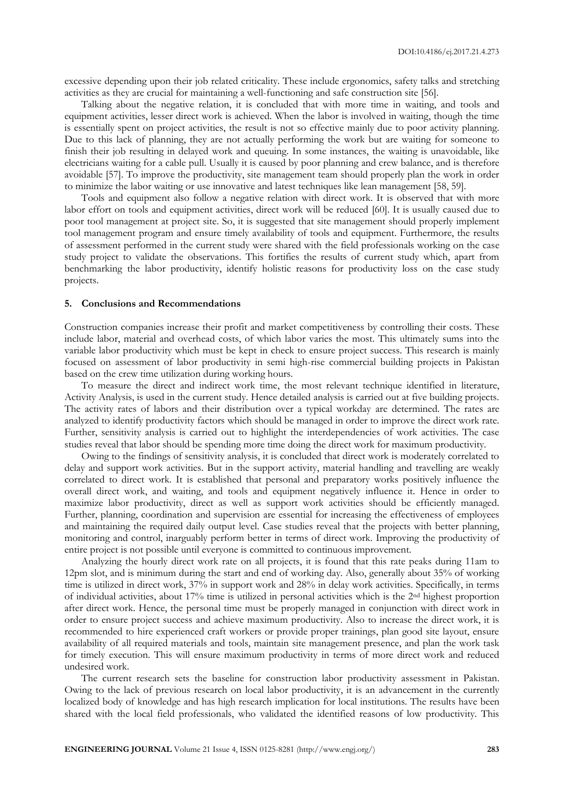excessive depending upon their job related criticality. These include ergonomics, safety talks and stretching activities as they are crucial for maintaining a well-functioning and safe construction site [56].

Talking about the negative relation, it is concluded that with more time in waiting, and tools and equipment activities, lesser direct work is achieved. When the labor is involved in waiting, though the time is essentially spent on project activities, the result is not so effective mainly due to poor activity planning. Due to this lack of planning, they are not actually performing the work but are waiting for someone to finish their job resulting in delayed work and queuing. In some instances, the waiting is unavoidable, like electricians waiting for a cable pull. Usually it is caused by poor planning and crew balance, and is therefore avoidable [57]. To improve the productivity, site management team should properly plan the work in order to minimize the labor waiting or use innovative and latest techniques like lean management [58, 59].

Tools and equipment also follow a negative relation with direct work. It is observed that with more labor effort on tools and equipment activities, direct work will be reduced [60]. It is usually caused due to poor tool management at project site. So, it is suggested that site management should properly implement tool management program and ensure timely availability of tools and equipment. Furthermore, the results of assessment performed in the current study were shared with the field professionals working on the case study project to validate the observations. This fortifies the results of current study which, apart from benchmarking the labor productivity, identify holistic reasons for productivity loss on the case study projects.

#### **5. Conclusions and Recommendations**

Construction companies increase their profit and market competitiveness by controlling their costs. These include labor, material and overhead costs, of which labor varies the most. This ultimately sums into the variable labor productivity which must be kept in check to ensure project success. This research is mainly focused on assessment of labor productivity in semi high-rise commercial building projects in Pakistan based on the crew time utilization during working hours.

To measure the direct and indirect work time, the most relevant technique identified in literature, Activity Analysis, is used in the current study. Hence detailed analysis is carried out at five building projects. The activity rates of labors and their distribution over a typical workday are determined. The rates are analyzed to identify productivity factors which should be managed in order to improve the direct work rate. Further, sensitivity analysis is carried out to highlight the interdependencies of work activities. The case studies reveal that labor should be spending more time doing the direct work for maximum productivity.

Owing to the findings of sensitivity analysis, it is concluded that direct work is moderately correlated to delay and support work activities. But in the support activity, material handling and travelling are weakly correlated to direct work. It is established that personal and preparatory works positively influence the overall direct work, and waiting, and tools and equipment negatively influence it. Hence in order to maximize labor productivity, direct as well as support work activities should be efficiently managed. Further, planning, coordination and supervision are essential for increasing the effectiveness of employees and maintaining the required daily output level. Case studies reveal that the projects with better planning, monitoring and control, inarguably perform better in terms of direct work. Improving the productivity of entire project is not possible until everyone is committed to continuous improvement.

Analyzing the hourly direct work rate on all projects, it is found that this rate peaks during 11am to 12pm slot, and is minimum during the start and end of working day. Also, generally about 35% of working time is utilized in direct work, 37% in support work and 28% in delay work activities. Specifically, in terms of individual activities, about 17% time is utilized in personal activities which is the 2nd highest proportion after direct work. Hence, the personal time must be properly managed in conjunction with direct work in order to ensure project success and achieve maximum productivity. Also to increase the direct work, it is recommended to hire experienced craft workers or provide proper trainings, plan good site layout, ensure availability of all required materials and tools, maintain site management presence, and plan the work task for timely execution. This will ensure maximum productivity in terms of more direct work and reduced undesired work.

The current research sets the baseline for construction labor productivity assessment in Pakistan. Owing to the lack of previous research on local labor productivity, it is an advancement in the currently localized body of knowledge and has high research implication for local institutions. The results have been shared with the local field professionals, who validated the identified reasons of low productivity. This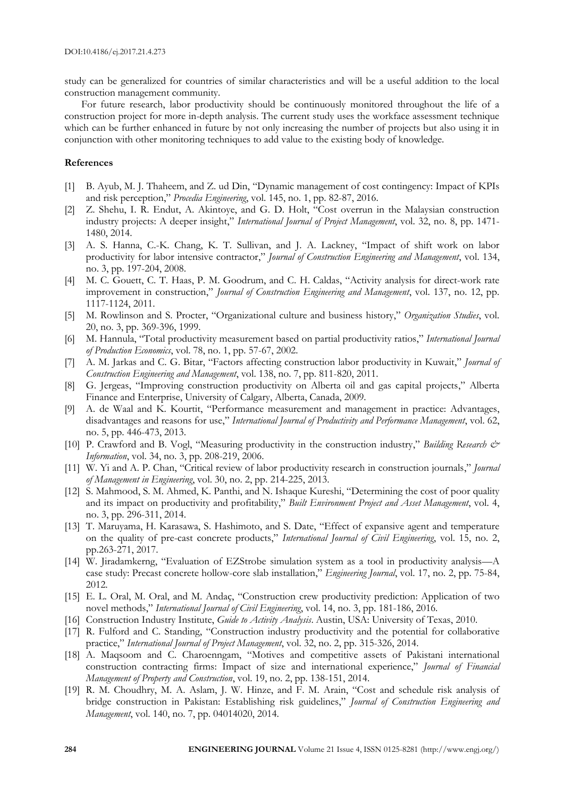study can be generalized for countries of similar characteristics and will be a useful addition to the local construction management community.

For future research, labor productivity should be continuously monitored throughout the life of a construction project for more in-depth analysis. The current study uses the workface assessment technique which can be further enhanced in future by not only increasing the number of projects but also using it in conjunction with other monitoring techniques to add value to the existing body of knowledge.

# **References**

- [1] B. Ayub, M. J. Thaheem, and Z. ud Din, "Dynamic management of cost contingency: Impact of KPIs and risk perception," *Procedia Engineering*, vol. 145, no. 1, pp. 82-87, 2016.
- [2] Z. Shehu, I. R. Endut, A. Akintoye, and G. D. Holt, "Cost overrun in the Malaysian construction industry projects: A deeper insight," *International Journal of Project Management*, vol. 32, no. 8, pp. 1471- 1480, 2014.
- [3] A. S. Hanna, C.-K. Chang, K. T. Sullivan, and J. A. Lackney, "Impact of shift work on labor productivity for labor intensive contractor," *Journal of Construction Engineering and Management*, vol. 134, no. 3, pp. 197-204, 2008.
- [4] M. C. Gouett, C. T. Haas, P. M. Goodrum, and C. H. Caldas, "Activity analysis for direct-work rate improvement in construction," *Journal of Construction Engineering and Management*, vol. 137, no. 12, pp. 1117-1124, 2011.
- [5] M. Rowlinson and S. Procter, "Organizational culture and business history," *Organization Studies*, vol. 20, no. 3, pp. 369-396, 1999.
- [6] M. Hannula, "Total productivity measurement based on partial productivity ratios," *International Journal of Production Economics*, vol. 78, no. 1, pp. 57-67, 2002.
- [7] A. M. Jarkas and C. G. Bitar, "Factors affecting construction labor productivity in Kuwait," *Journal of Construction Engineering and Management*, vol. 138, no. 7, pp. 811-820, 2011.
- [8] G. Jergeas, "Improving construction productivity on Alberta oil and gas capital projects," Alberta Finance and Enterprise, University of Calgary, Alberta, Canada, 2009.
- [9] A. de Waal and K. Kourtit, "Performance measurement and management in practice: Advantages, disadvantages and reasons for use," *International Journal of Productivity and Performance Management*, vol. 62, no. 5, pp. 446-473, 2013.
- [10] P. Crawford and B. Vogl, "Measuring productivity in the construction industry," *Building Research & Information*, vol. 34, no. 3, pp. 208-219, 2006.
- [11] W. Yi and A. P. Chan, "Critical review of labor productivity research in construction journals," *Journal of Management in Engineering*, vol. 30, no. 2, pp. 214-225, 2013.
- [12] S. Mahmood, S. M. Ahmed, K. Panthi, and N. Ishaque Kureshi, "Determining the cost of poor quality and its impact on productivity and profitability," *Built Environment Project and Asset Management*, vol. 4, no. 3, pp. 296-311, 2014.
- [13] T. Maruyama, H. Karasawa, S. Hashimoto, and S. Date, "Effect of expansive agent and temperature on the quality of pre-cast concrete products," *International Journal of Civil Engineering*, vol. 15, no. 2, pp.263-271, 2017.
- [14] W. Jiradamkerng, "Evaluation of EZStrobe simulation system as a tool in productivity analysis—A case study: Precast concrete hollow-core slab installation," *Engineering Journal*, vol. 17, no. 2, pp. 75-84, 2012.
- [15] E. L. Oral, M. Oral, and M. Andaç, "Construction crew productivity prediction: Application of two novel methods," *International Journal of Civil Engineering*, vol. 14, no. 3, pp. 181-186, 2016.
- [16] Construction Industry Institute, *Guide to Activity Analysis*. Austin, USA: University of Texas, 2010.
- [17] R. Fulford and C. Standing, "Construction industry productivity and the potential for collaborative practice," *International Journal of Project Management*, vol. 32, no. 2, pp. 315-326, 2014.
- [18] A. Maqsoom and C. Charoenngam, "Motives and competitive assets of Pakistani international construction contracting firms: Impact of size and international experience," *Journal of Financial Management of Property and Construction*, vol. 19, no. 2, pp. 138-151, 2014.
- [19] R. M. Choudhry, M. A. Aslam, J. W. Hinze, and F. M. Arain, "Cost and schedule risk analysis of bridge construction in Pakistan: Establishing risk guidelines," *Journal of Construction Engineering and Management*, vol. 140, no. 7, pp. 04014020, 2014.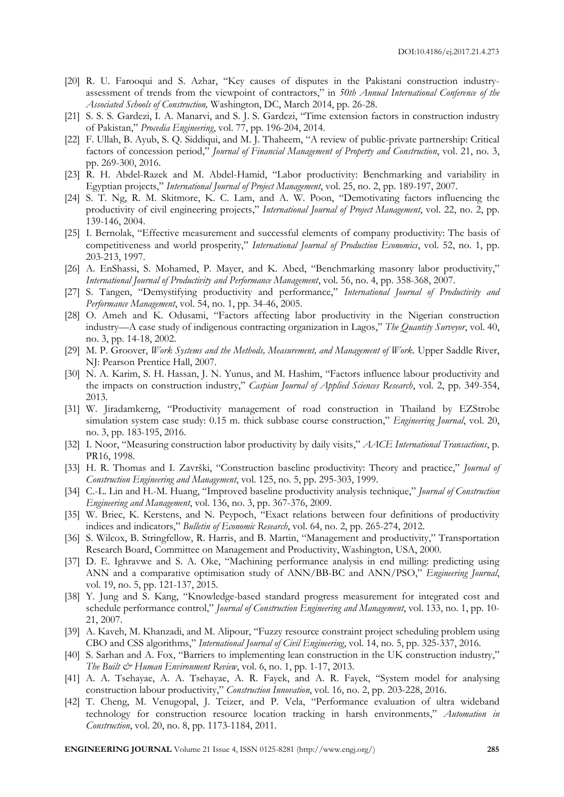- [20] R. U. Farooqui and S. Azhar, "Key causes of disputes in the Pakistani construction industryassessment of trends from the viewpoint of contractors," in *50th Annual International Conference of the Associated Schools of Construction,* Washington, DC, March 2014, pp. 26-28.
- [21] S. S. S. Gardezi, I. A. Manarvi, and S. J. S. Gardezi, "Time extension factors in construction industry of Pakistan," *Procedia Engineering*, vol. 77, pp. 196-204, 2014.
- [22] F. Ullah, B. Ayub, S. Q. Siddiqui, and M. J. Thaheem, "A review of public-private partnership: Critical factors of concession period," *Journal of Financial Management of Property and Construction*, vol. 21, no. 3, pp. 269-300, 2016.
- [23] R. H. Abdel-Razek and M. Abdel-Hamid, "Labor productivity: Benchmarking and variability in Egyptian projects," *International Journal of Project Management*, vol. 25, no. 2, pp. 189-197, 2007.
- [24] S. T. Ng, R. M. Skitmore, K. C. Lam, and A. W. Poon, "Demotivating factors influencing the productivity of civil engineering projects," *International Journal of Project Management*, vol. 22, no. 2, pp. 139-146, 2004.
- [25] I. Bernolak, "Effective measurement and successful elements of company productivity: The basis of competitiveness and world prosperity," *International Journal of Production Economics*, vol. 52, no. 1, pp. 203-213, 1997.
- [26] A. EnShassi, S. Mohamed, P. Mayer, and K. Abed, "Benchmarking masonry labor productivity," *International Journal of Productivity and Performance Management*, vol. 56, no. 4, pp. 358-368, 2007.
- [27] S. Tangen, "Demystifying productivity and performance," *International Journal of Productivity and Performance Management*, vol. 54, no. 1, pp. 34-46, 2005.
- [28] O. Ameh and K. Odusami, "Factors affecting labor productivity in the Nigerian construction industry—A case study of indigenous contracting organization in Lagos," *The Quantity Surveyor*, vol. 40, no. 3, pp. 14-18, 2002.
- [29] M. P. Groover, *Work Systems and the Methods, Measurement, and Management of Work*. Upper Saddle River, NJ: Pearson Prentice Hall, 2007.
- [30] N. A. Karim, S. H. Hassan, J. N. Yunus, and M. Hashim, "Factors influence labour productivity and the impacts on construction industry," *Caspian Journal of Applied Sciences Research*, vol. 2, pp. 349-354, 2013.
- [31] W. Jiradamkerng, "Productivity management of road construction in Thailand by EZStrobe simulation system case study: 0.15 m. thick subbase course construction," *Engineering Journal*, vol. 20, no. 3, pp. 183-195, 2016.
- [32] I. Noor, "Measuring construction labor productivity by daily visits," *AACE International Transactions*, p. PR16, 1998.
- [33] H. R. Thomas and I. Završki, "Construction baseline productivity: Theory and practice," *Journal of Construction Engineering and Management*, vol. 125, no. 5, pp. 295-303, 1999.
- [34] C.-L. Lin and H.-M. Huang, "Improved baseline productivity analysis technique," *Journal of Construction Engineering and Management*, vol. 136, no. 3, pp. 367-376, 2009.
- [35] W. Briec, K. Kerstens, and N. Peypoch, "Exact relations between four definitions of productivity indices and indicators," *Bulletin of Economic Research*, vol. 64, no. 2, pp. 265-274, 2012.
- [36] S. Wilcox, B. Stringfellow, R. Harris, and B. Martin, "Management and productivity," Transportation Research Board, Committee on Management and Productivity, Washington, USA, 2000.
- [37] D. E. Ighravwe and S. A. Oke, "Machining performance analysis in end milling: predicting using ANN and a comparative optimisation study of ANN/BB-BC and ANN/PSO," *Engineering Journal*, vol. 19, no. 5, pp. 121-137, 2015.
- [38] Y. Jung and S. Kang, "Knowledge-based standard progress measurement for integrated cost and schedule performance control," *Journal of Construction Engineering and Management*, vol. 133, no. 1, pp. 10- 21, 2007.
- [39] A. Kaveh, M. Khanzadi, and M. Alipour, "Fuzzy resource constraint project scheduling problem using CBO and CSS algorithms," *International Journal of Civil Engineering*, vol. 14, no. 5, pp. 325-337, 2016.
- [40] S. Sarhan and A. Fox, "Barriers to implementing lean construction in the UK construction industry," *The Built & Human Environment Review*, vol. 6, no. 1, pp. 1-17, 2013.
- [41] A. A. Tsehayae, A. A. Tsehayae, A. R. Fayek, and A. R. Fayek, "System model for analysing construction labour productivity," *Construction Innovation*, vol. 16, no. 2, pp. 203-228, 2016.
- [42] T. Cheng, M. Venugopal, J. Teizer, and P. Vela, "Performance evaluation of ultra wideband technology for construction resource location tracking in harsh environments," *Automation in Construction*, vol. 20, no. 8, pp. 1173-1184, 2011.

**ENGINEERING JOURNAL** Volume 21 Issue 4, ISSN 0125-8281 (http://www.engj.org/) **285**